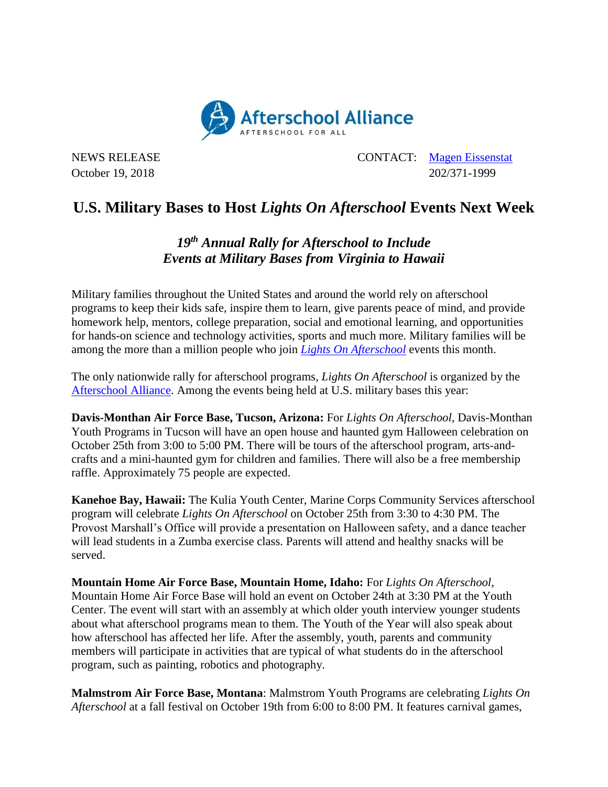

NEWS RELEASE CONTACT: [Magen Eissenstat](mailto:magen@prsolutionsdc.com) October 19, 2018 202/371-1999

## **U.S. Military Bases to Host** *Lights On Afterschool* **Events Next Week**

## *19 th Annual Rally for Afterschool to Include Events at Military Bases from Virginia to Hawaii*

Military families throughout the United States and around the world rely on afterschool programs to keep their kids safe, inspire them to learn, give parents peace of mind, and provide homework help, mentors, college preparation, social and emotional learning, and opportunities for hands-on science and technology activities, sports and much more. Military families will be among the more than a million people who join *[Lights On Afterschool](http://www.afterschoolalliance.org/loa.cfm)* events this month.

The only nationwide rally for afterschool programs, *Lights On Afterschool* is organized by the [Afterschool Alliance.](http://www.afterschoolalliance.org/) Among the events being held at U.S. military bases this year:

**Davis-Monthan Air Force Base, Tucson, Arizona:** For *Lights On Afterschool*, Davis-Monthan Youth Programs in Tucson will have an open house and haunted gym Halloween celebration on October 25th from 3:00 to 5:00 PM. There will be tours of the afterschool program, arts-andcrafts and a mini-haunted gym for children and families. There will also be a free membership raffle. Approximately 75 people are expected.

**Kanehoe Bay, Hawaii:** The Kulia Youth Center, Marine Corps Community Services afterschool program will celebrate *Lights On Afterschool* on October 25th from 3:30 to 4:30 PM. The Provost Marshall's Office will provide a presentation on Halloween safety, and a dance teacher will lead students in a Zumba exercise class. Parents will attend and healthy snacks will be served.

**Mountain Home Air Force Base, Mountain Home, Idaho:** For *Lights On Afterschool*, Mountain Home Air Force Base will hold an event on October 24th at 3:30 PM at the Youth Center. The event will start with an assembly at which older youth interview younger students about what afterschool programs mean to them. The Youth of the Year will also speak about how afterschool has affected her life. After the assembly, youth, parents and community members will participate in activities that are typical of what students do in the afterschool program, such as painting, robotics and photography.

**Malmstrom Air Force Base, Montana**: Malmstrom Youth Programs are celebrating *Lights On Afterschool* at a fall festival on October 19th from 6:00 to 8:00 PM. It features carnival games,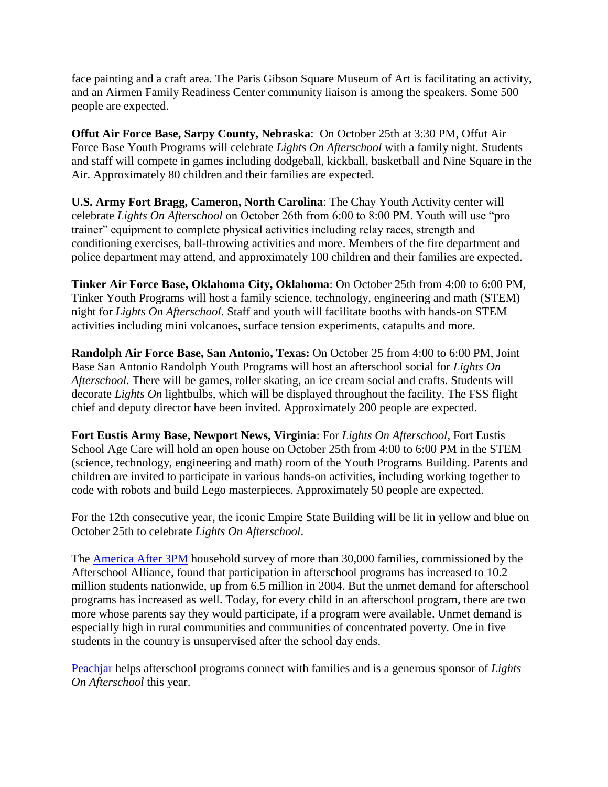face painting and a craft area. The Paris Gibson Square Museum of Art is facilitating an activity, and an Airmen Family Readiness Center community liaison is among the speakers. Some 500 people are expected.

**Offut Air Force Base, Sarpy County, Nebraska**: On October 25th at 3:30 PM, Offut Air Force Base Youth Programs will celebrate *Lights On Afterschool* with a family night. Students and staff will compete in games including dodgeball, kickball, basketball and Nine Square in the Air. Approximately 80 children and their families are expected.

**U.S. Army Fort Bragg, Cameron, North Carolina**: The Chay Youth Activity center will celebrate *Lights On Afterschool* on October 26th from 6:00 to 8:00 PM. Youth will use "pro trainer" equipment to complete physical activities including relay races, strength and conditioning exercises, ball-throwing activities and more. Members of the fire department and police department may attend, and approximately 100 children and their families are expected.

**Tinker Air Force Base, Oklahoma City, Oklahoma**: On October 25th from 4:00 to 6:00 PM, Tinker Youth Programs will host a family science, technology, engineering and math (STEM) night for *Lights On Afterschool*. Staff and youth will facilitate booths with hands-on STEM activities including mini volcanoes, surface tension experiments, catapults and more.

**Randolph Air Force Base, San Antonio, Texas:** On October 25 from 4:00 to 6:00 PM, Joint Base San Antonio Randolph Youth Programs will host an afterschool social for *Lights On Afterschool*. There will be games, roller skating, an ice cream social and crafts. Students will decorate *Lights On* lightbulbs, which will be displayed throughout the facility. The FSS flight chief and deputy director have been invited. Approximately 200 people are expected.

**Fort Eustis Army Base, Newport News, Virginia**: For *Lights On Afterschool*, Fort Eustis School Age Care will hold an open house on October 25th from 4:00 to 6:00 PM in the STEM (science, technology, engineering and math) room of the Youth Programs Building. Parents and children are invited to participate in various hands-on activities, including working together to code with robots and build Lego masterpieces. Approximately 50 people are expected.

For the 12th consecutive year, the iconic Empire State Building will be lit in yellow and blue on October 25th to celebrate *Lights On Afterschool*.

The [America After 3PM](http://www.afterschoolalliance.org/AA3PM/) household survey of more than 30,000 families, commissioned by the Afterschool Alliance, found that participation in afterschool programs has increased to 10.2 million students nationwide, up from 6.5 million in 2004. But the unmet demand for afterschool programs has increased as well. Today, for every child in an afterschool program, there are two more whose parents say they would participate, if a program were available. Unmet demand is especially high in rural communities and communities of concentrated poverty. One in five students in the country is unsupervised after the school day ends.

[Peachjar](https://peachjar.com/?utm_source=afterschool-alliance&utm_medium=press-release&utm_campaign=Afterschool%20Alliance%20Press%20Release%20Homepage) helps afterschool programs connect with families and is a generous sponsor of *Lights On Afterschool* this year.